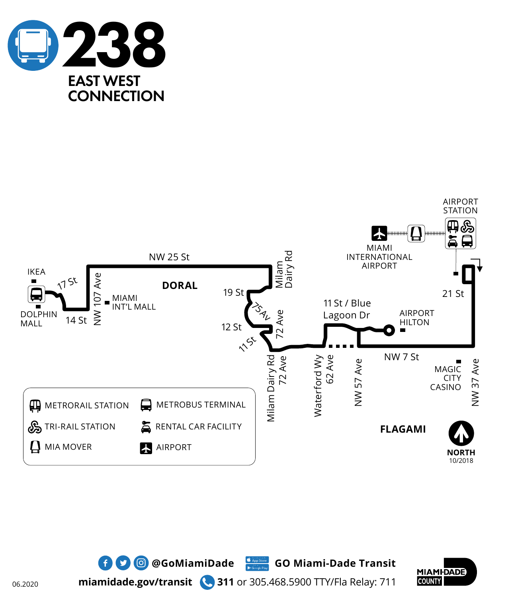





**miamidade.gov/transit 311** or 305.468.5900 TTY/Fla Relay: 711

 $\bullet$  **0 @GoMiamiDade** GO Miami-Dade Transit

06.2020